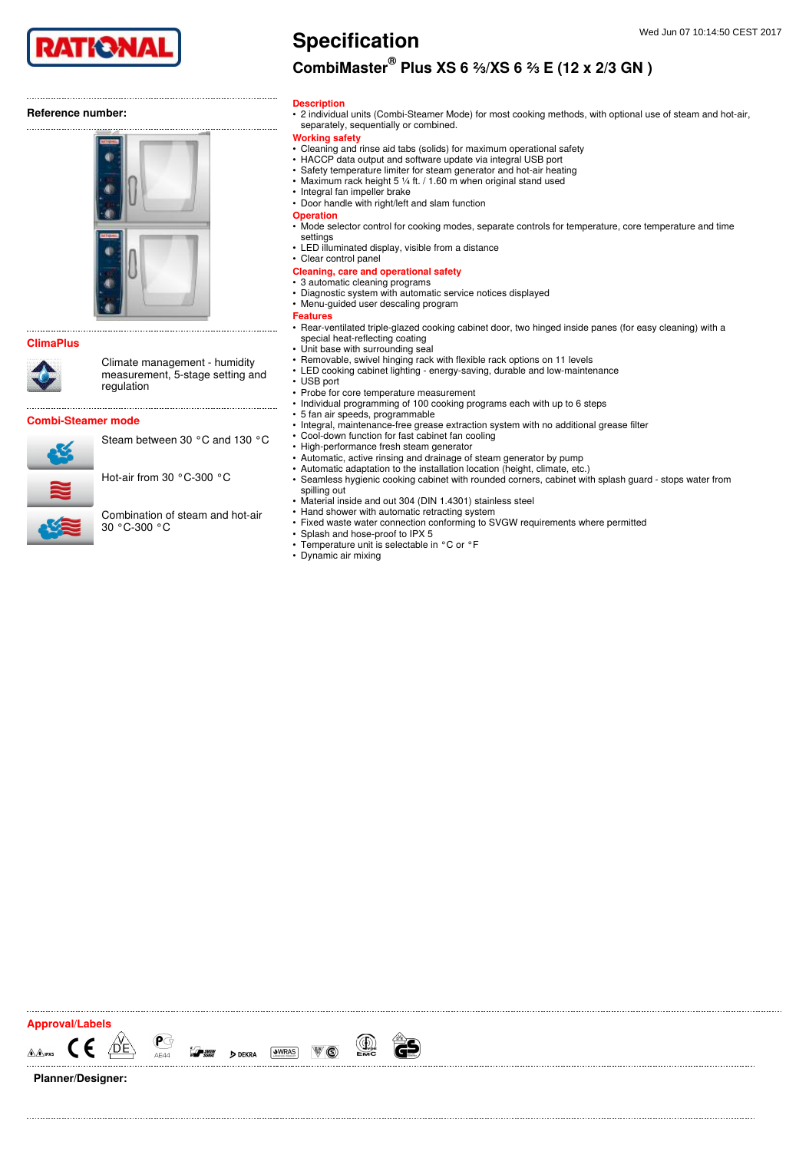

### Reference number:



### ClimaPlus



Climate management - humidity measurement, 5-stage setting and regulation

Combi-Steamer mode

Planner/Designer:

Steam between 30 °C and 130 °C

Hot-air from 30 °C-300 °C

Combination of steam and hot-air 30 °C-300 °C

# CombiMaster $^{\circledR}$  Plus XS 6 ⅔/XS 6 ⅔ E (12 x 2/3 GN )

#### **Description**

• 2 individual units (Combi-Steamer Mode) for most cooking methods, with optional use of steam and hot-air, separately, sequentially or combined.

#### Working safety

- Cleaning and rinse aid tabs (solids) for maximum operational safety
- HACCP data output and software update via integral USB port
- Safety temperature limiter for steam generator and hot-air heating
- Maximum rack height 5 ¼ ft. / 1.60 m when original stand used • Integral fan impeller brake
- Door handle with right/left and slam function
- **Operation**
- Mode selector control for cooking modes, separate controls for temperature, core temperature and time settings
- LED illuminated display, visible from a distance
- Clear control panel

#### Cleaning, care and operational safety

- 3 automatic cleaning programs
- Diagnostic system with automatic service notices displayed
- Menu-guided user descaling program
- Features
- Rear-ventilated triple-glazed cooking cabinet door, two hinged inside panes (for easy cleaning) with a special heat-reflecting coating
- Unit base with surrounding seal
- Removable, swivel hinging rack with flexible rack options on 11 levels
- LED cooking cabinet lighting energy-saving, durable and low-maintenance
- USB port
- Probe for core temperature measurement • Individual programming of 100 cooking programs each with up to 6 steps
- 5 fan air speeds, programmable
- Integral, maintenance-free grease extraction system with no additional grease filter
- Cool-down function for fast cabinet fan cooling
- High-performance fresh steam generator
- Automatic, active rinsing and drainage of steam generator by pump
- Automatic adaptation to the installation location (height, climate, etc.)
- Seamless hygienic cooking cabinet with rounded corners, cabinet with splash guard stops water from spilling out
- Material inside and out 304 (DIN 1.4301) stainless steel
- Hand shower with automatic retracting system
- Fixed waste water connection conforming to SVGW requirements where permitted • Splash and hose-proof to IPX 5
- Temperature unit is selectable in °C or °F
- Dynamic air mixing
- 

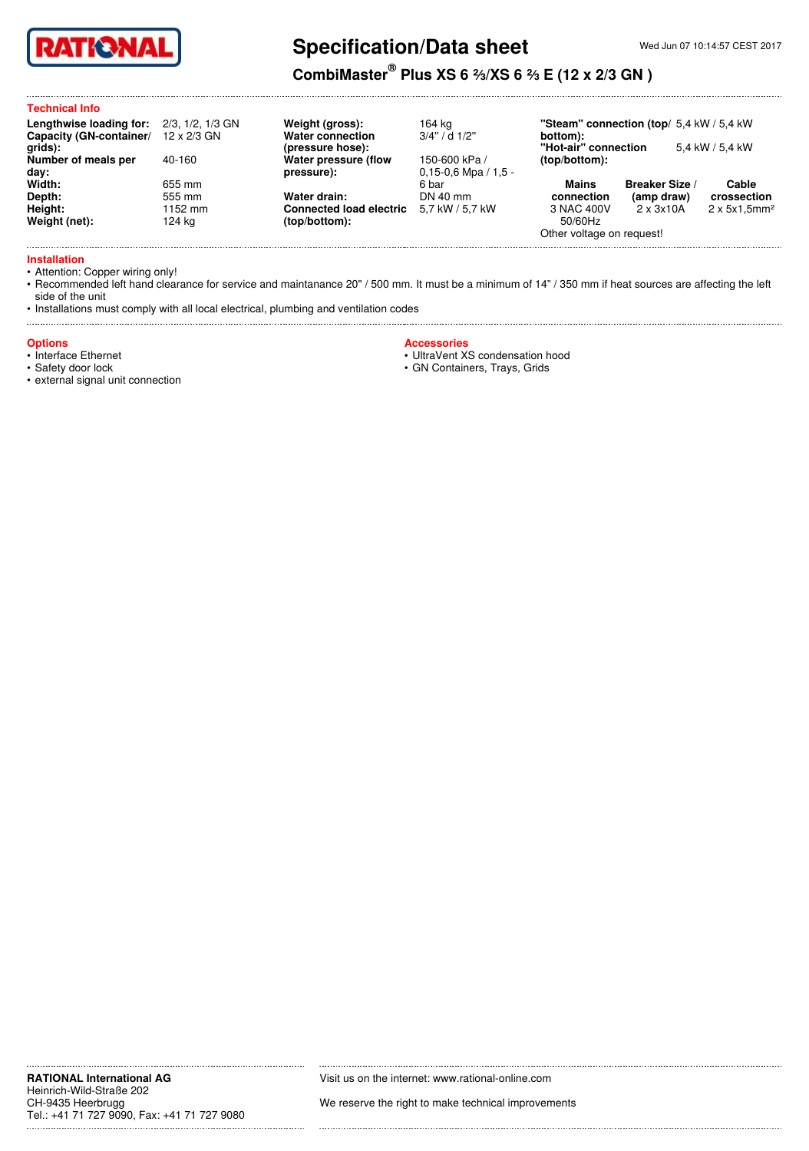

# Specification/Data sheet

## CombiMaster $^\circledR$  Plus XS 6 ⅔/XS 6 ⅔ E (12 x 2/3 GN )

### Technical Info

| Lengthwise loading for:<br>Capacity (GN-container/ 12 x 2/3 GN | 2/3, 1/2, 1/3 GN |
|----------------------------------------------------------------|------------------|
| qrids):<br>Number of meals per<br>day:                         | 40-160           |
| Width:                                                         | 655 mm           |
| Depth:                                                         | 555 mm           |
| Height:                                                        | 1152 mm          |
| Weight (net):                                                  | 124 ka           |

### Weight (gross): 164 kg Water connection (pressure hose): Water pressure (flow pressure):

(top/bottom):

3/4'' / d 1/2''

150-600 kPa / 0,15-0,6 Mpa / 1,5 - 6 bar<br>DN 40 mm Water drain: DN 40 mm

"Steam" connection (top/ 5,4 kW / 5,4 kW bottom): "Hot-air" connection 5,4 kW / 5,4 kW

(top/bottom): Mains Breaker Size /

Cable crossection

50/60Hz

connection

(amp draw)<br> $2 \times 3 \times 10$ A

 $2 \times 5 \times 1,5$ mm<sup>2</sup>

Other voltage on request!

3 NAC 400V

Installation

• Attention: Copper wiring only!

• Recommended left hand clearance for service and maintanance 20" / 500 mm. It must be a minimum of 14" / 350 mm if heat sources are affecting the left side of the unit

Connected load electric 5,7 kW / 5,7 kW

• Installations must comply with all local electrical, plumbing and ventilation codes

### **Options**

• Interface Ethernet

• Safety door lock

• external signal unit connection

**Accessories** 

• UltraVent XS condensation hood

• GN Containers, Trays, Grids

Visit us on the internet: www.rational-online.com

We reserve the right to make technical improvements